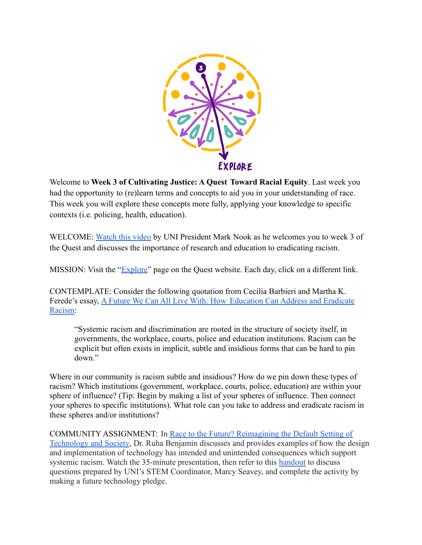

Welcome to Week 3 of Cultivating Justice: A Quest Toward Racial Equity. Last week you had the opportunity to (re)learn terms and concepts to aid you in your understanding of race. This week you will explore these concepts more fully, applying your knowledge to specific contexts (i.e. policing, health, education).

WELCOME: Watch this video by UNI President Mark Nook as he welcomes you to week 3 of the Quest and discusses the importance of research and education to eradicating racism.

MISSION: Visit the "Explore" page on the Quest website. Each day, click on a different link.

CONTEMPLATE: Consider the following quotation from Cecilia Barbieri and Martha K. Ferede's essay, A Future We Can All Live With: How Education Can Address and Eradicate Racism:

"Systemic racism and discrimination are rooted in the structure of society itself, in governments, the workplace, courts, police and education institutions. Racism can be explicit but often exists in implicit, subtle and insidious forms that can be hard to pin down.´

Where in our community is racism subtle and insidious? How do we pin down these types of racism? Which institutions (government, workplace, courts, police, education) are within your sphere of influence? (Tip: Begin by making a list of your spheres of influence. Then connect your spheres to specific institutions). What role can you take to address and eradicate racism in these spheres and/or institutions?

COMMUNITY ASSIGNMENT: In Race to the Future? Reimagining the Default Setting of Technology and Society, Dr. Ruha Benjamin discusses and provides examples of how the design and implementation of technology has intended and unintended consequences which support systemic racism. Watch the 35-minute presentation, then refer to this handout to discuss questions prepared by UNI's STEM Coordinator, Marcy Seavey, and complete the activity by making a future technology pledge.